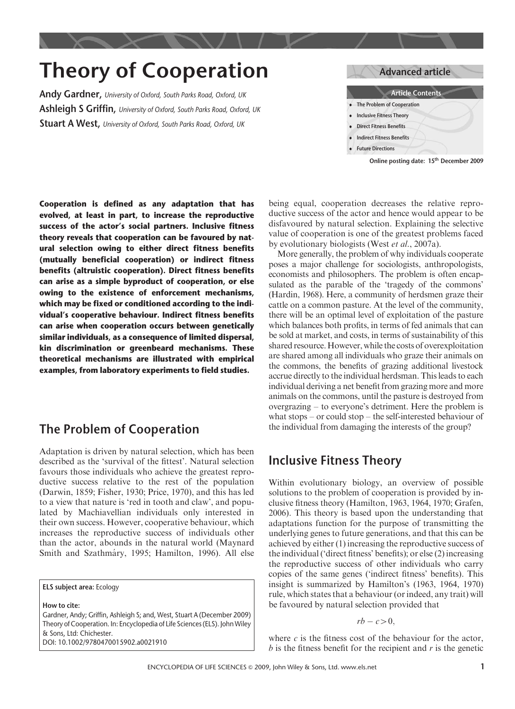# Theory of Cooperation

Andy Gardner, University of Oxford, South Parks Road, Oxford, UK Ashleigh S Griffin, University of Oxford, South Parks Road, Oxford, UK Stuart A West, University of Oxford, South Parks Road, Oxford, UK

Advanced article Article Contents . The Problem of Cooperation . Inclusive Fitness Theory . Direct Fitness Benefits . Indirect Fitness Benefits . Future Directions



Cooperation is defined as any adaptation that has evolved, at least in part, to increase the reproductive success of the actor's social partners. Inclusive fitness theory reveals that cooperation can be favoured by natural selection owing to either direct fitness benefits (mutually beneficial cooperation) or indirect fitness benefits (altruistic cooperation). Direct fitness benefits can arise as a simple byproduct of cooperation, or else owing to the existence of enforcement mechanisms, which may be fixed or conditioned according to the individual's cooperative behaviour. Indirect fitness benefits can arise when cooperation occurs between genetically similar individuals, as a consequence of limited dispersal, kin discrimination or greenbeard mechanisms. These theoretical mechanisms are illustrated with empirical examples, from laboratory experiments to field studies.

# The Problem of Cooperation

Adaptation is driven by natural selection, which has been described as the 'survival of the fittest'. Natural selection favours those individuals who achieve the greatest reproductive success relative to the rest of the population (Darwin, 1859; Fisher, 1930; Price, 1970), and this has led to a view that nature is 'red in tooth and claw', and populated by Machiavellian individuals only interested in their own success. However, cooperative behaviour, which increases the reproductive success of individuals other than the actor, abounds in the natural world (Maynard Smith and Szathmáry, 1995; Hamilton, 1996). All else

ELS subject area: Ecology

How to cite: Gardner, Andy; Griffin, Ashleigh S; and, West, Stuart A (December 2009) Theory of Cooperation. In: Encyclopedia of Life Sciences (ELS). John Wiley & Sons, Ltd: Chichester. DOI: 10.1002/9780470015902.a0021910

being equal, cooperation decreases the relative reproductive success of the actor and hence would appear to be disfavoured by natural selection. Explaining the selective value of cooperation is one of the greatest problems faced by evolutionary biologists (West et al., 2007a).

More generally, the problem of why individuals cooperate poses a major challenge for sociologists, anthropologists, economists and philosophers. The problem is often encapsulated as the parable of the 'tragedy of the commons' (Hardin, 1968). Here, a community of herdsmen graze their cattle on a common pasture. At the level of the community, there will be an optimal level of exploitation of the pasture which balances both profits, in terms of fed animals that can be sold at market, and costs, in terms of sustainability of this shared resource.However, while the costs of overexploitation are shared among all individuals who graze their animals on the commons, the benefits of grazing additional livestock accrue directly to the individual herdsman. This leads to each individual deriving a net benefit from grazing more and more animals on the commons, until the pasture is destroyed from overgrazing – to everyone's detriment. Here the problem is what stops – or could stop – the self-interested behaviour of the individual from damaging the interests of the group?

# Inclusive Fitness Theory

Within evolutionary biology, an overview of possible solutions to the problem of cooperation is provided by inclusive fitness theory (Hamilton, 1963, 1964, 1970; Grafen, 2006). This theory is based upon the understanding that adaptations function for the purpose of transmitting the underlying genes to future generations, and that this can be achieved by either (1) increasing the reproductive success of the individual ('direct fitness' benefits); or else (2) increasing the reproductive success of other individuals who carry copies of the same genes ('indirect fitness' benefits). This insight is summarized by Hamilton's (1963, 1964, 1970) rule, which states that a behaviour (or indeed, any trait) will be favoured by natural selection provided that

 $rb - c > 0$ ,

where  $c$  is the fitness cost of the behaviour for the actor,  $b$  is the fitness benefit for the recipient and  $r$  is the genetic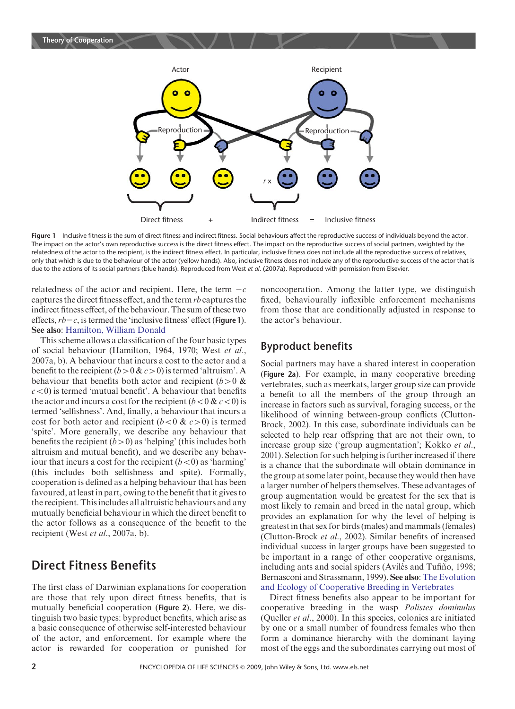

Figure 1 Inclusive fitness is the sum of direct fitness and indirect fitness. Social behaviours affect the reproductive success of individuals beyond the actor. The impact on the actor's own reproductive success is the direct fitness effect. The impact on the reproductive success of social partners, weighted by the relatedness of the actor to the recipient, is the indirect fitness effect. In particular, inclusive fitness does not include all the reproductive success of relatives, only that which is due to the behaviour of the actor (yellow hands). Also, inclusive fitness does not include any of the reproductive success of the actor that is due to the actions of its social partners (blue hands). Reproduced from West et al. (2007a). Reproduced with permission from Elsevier.

relatedness of the actor and recipient. Here, the term  $-c$ captures the direct fitness effect, and the term rb captures the indirect fitness effect, of the behaviour. The sum of these two effects,  $rb-c$ , is termed the 'inclusive fitness' effect (Figure 1). See also: [Hamilton, William Donald](http://dx.doi.org/10.1002/9780470015902.a0006243)

This scheme allows a classification of the four basic types of social behaviour (Hamilton, 1964, 1970; West et al., 2007a, b). A behaviour that incurs a cost to the actor and a benefit to the recipient  $(b>0 & c>0)$  is termed 'altruism'. A behaviour that benefits both actor and recipient  $(b>0 \&$  $c<0$ ) is termed 'mutual benefit'. A behaviour that benefits the actor and incurs a cost for the recipient  $(b<0 & c<0)$  is termed 'selfishness'. And, finally, a behaviour that incurs a cost for both actor and recipient  $(b<0 \& c>0)$  is termed 'spite'. More generally, we describe any behaviour that benefits the recipient  $(b>0)$  as 'helping' (this includes both altruism and mutual benefit), and we describe any behaviour that incurs a cost for the recipient  $(b<0)$  as 'harming' (this includes both selfishness and spite). Formally, cooperation is defined as a helping behaviour that has been favoured, at least in part, owing to the benefit that it gives to the recipient. This includes all altruistic behaviours and any mutually beneficial behaviour in which the direct benefit to the actor follows as a consequence of the benefit to the recipient (West et al., 2007a, b).

## Direct Fitness Benefits

The first class of Darwinian explanations for cooperation are those that rely upon direct fitness benefits, that is mutually beneficial cooperation (Figure 2). Here, we distinguish two basic types: byproduct benefits, which arise as a basic consequence of otherwise self-interested behaviour of the actor, and enforcement, for example where the actor is rewarded for cooperation or punished for noncooperation. Among the latter type, we distinguish fixed, behaviourally inflexible enforcement mechanisms from those that are conditionally adjusted in response to the actor's behaviour.

#### Byproduct benefits

Social partners may have a shared interest in cooperation (Figure 2a). For example, in many cooperative breeding vertebrates, such as meerkats, larger group size can provide a benefit to all the members of the group through an increase in factors such as survival, foraging success, or the likelihood of winning between-group conflicts (Clutton-Brock, 2002). In this case, subordinate individuals can be selected to help rear offspring that are not their own, to increase group size ('group augmentation'; Kokko et al., 2001). Selection for such helping is further increased if there is a chance that the subordinate will obtain dominance in the group at some later point, because they would then have a larger number of helpers themselves. These advantages of group augmentation would be greatest for the sex that is most likely to remain and breed in the natal group, which provides an explanation for why the level of helping is greatest in that sex for birds (males) and mammals (females) (Clutton-Brock et al., 2002). Similar benefits of increased individual success in larger groups have been suggested to be important in a range of other cooperative organisms, including ants and social spiders (Avilés and Tufiño, 1998; Bernasconi and Strassmann, 1999). See also: [The Evolution](http://dx.doi.org/10.1002/9780470015902.a0021218) [and Ecology of Cooperative Breeding in Vertebrates](http://dx.doi.org/10.1002/9780470015902.a0021218)

Direct fitness benefits also appear to be important for cooperative breeding in the wasp Polistes dominulus (Queller et al., 2000). In this species, colonies are initiated by one or a small number of foundress females who then form a dominance hierarchy with the dominant laying most of the eggs and the subordinates carrying out most of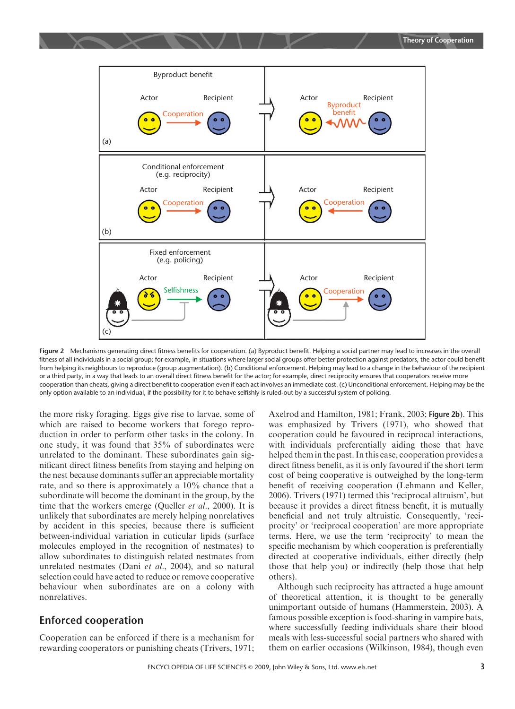

Figure 2 Mechanisms generating direct fitness benefits for cooperation. (a) Byproduct benefit. Helping a social partner may lead to increases in the overall fitness of all individuals in a social group; for example, in situations where larger social groups offer better protection against predators, the actor could benefit from helping its neighbours to reproduce (group augmentation). (b) Conditional enforcement. Helping may lead to a change in the behaviour of the recipient or a third party, in a way that leads to an overall direct fitness benefit for the actor; for example, direct reciprocity ensures that cooperators receive more cooperation than cheats, giving a direct benefit to cooperation even if each act involves an immediate cost. (c) Unconditional enforcement. Helping may be the only option available to an individual, if the possibility for it to behave selfishly is ruled-out by a successful system of policing.

the more risky foraging. Eggs give rise to larvae, some of which are raised to become workers that forego reproduction in order to perform other tasks in the colony. In one study, it was found that 35% of subordinates were unrelated to the dominant. These subordinates gain significant direct fitness benefits from staying and helping on the nest because dominants suffer an appreciable mortality rate, and so there is approximately a 10% chance that a subordinate will become the dominant in the group, by the time that the workers emerge (Queller *et al.*, 2000). It is unlikely that subordinates are merely helping nonrelatives by accident in this species, because there is sufficient between-individual variation in cuticular lipids (surface molecules employed in the recognition of nestmates) to allow subordinates to distinguish related nestmates from unrelated nestmates (Dani et al., 2004), and so natural selection could have acted to reduce or remove cooperative behaviour when subordinates are on a colony with nonrelatives.

## Enforced cooperation

Cooperation can be enforced if there is a mechanism for rewarding cooperators or punishing cheats (Trivers, 1971; Axelrod and Hamilton, 1981; Frank, 2003; Figure 2b). This was emphasized by Trivers (1971), who showed that cooperation could be favoured in reciprocal interactions, with individuals preferentially aiding those that have helped them in the past. In this case, cooperation provides a direct fitness benefit, as it is only favoured if the short term cost of being cooperative is outweighed by the long-term benefit of receiving cooperation (Lehmann and Keller, 2006). Trivers (1971) termed this 'reciprocal altruism', but because it provides a direct fitness benefit, it is mutually beneficial and not truly altruistic. Consequently, 'reciprocity' or 'reciprocal cooperation' are more appropriate terms. Here, we use the term 'reciprocity' to mean the specific mechanism by which cooperation is preferentially directed at cooperative individuals, either directly (help those that help you) or indirectly (help those that help others).

Although such reciprocity has attracted a huge amount of theoretical attention, it is thought to be generally unimportant outside of humans (Hammerstein, 2003). A famous possible exception is food-sharing in vampire bats, where successfully feeding individuals share their blood meals with less-successful social partners who shared with them on earlier occasions (Wilkinson, 1984), though even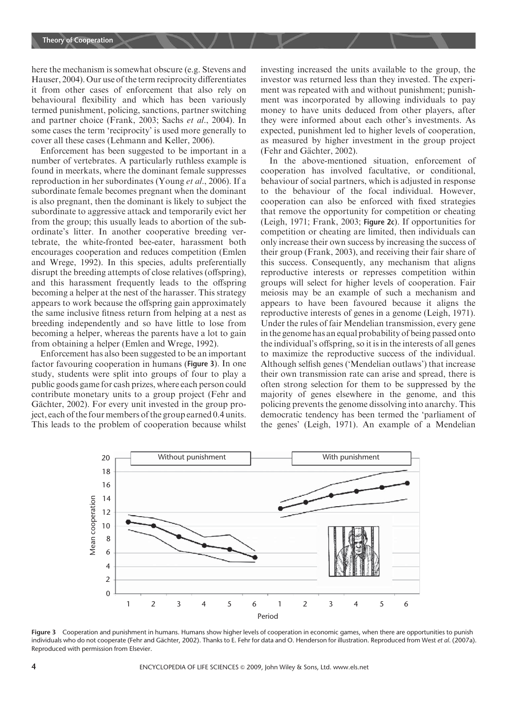here the mechanism is somewhat obscure (e.g. Stevens and Hauser, 2004). Our use of the term reciprocity differentiates it from other cases of enforcement that also rely on behavioural flexibility and which has been variously termed punishment, policing, sanctions, partner switching and partner choice (Frank, 2003; Sachs et al., 2004). In some cases the term 'reciprocity' is used more generally to cover all these cases (Lehmann and Keller, 2006).

Enforcement has been suggested to be important in a number of vertebrates. A particularly ruthless example is found in meerkats, where the dominant female suppresses reproduction in her subordinates (Young et al., 2006). If a subordinate female becomes pregnant when the dominant is also pregnant, then the dominant is likely to subject the subordinate to aggressive attack and temporarily evict her from the group; this usually leads to abortion of the subordinate's litter. In another cooperative breeding vertebrate, the white-fronted bee-eater, harassment both encourages cooperation and reduces competition (Emlen and Wrege, 1992). In this species, adults preferentially disrupt the breeding attempts of close relatives (offspring), and this harassment frequently leads to the offspring becoming a helper at the nest of the harasser. This strategy appears to work because the offspring gain approximately the same inclusive fitness return from helping at a nest as breeding independently and so have little to lose from becoming a helper, whereas the parents have a lot to gain from obtaining a helper (Emlen and Wrege, 1992).

Enforcement has also been suggested to be an important factor favouring cooperation in humans (Figure 3). In one study, students were split into groups of four to play a public goods game for cash prizes, where each person could contribute monetary units to a group project (Fehr and Gächter, 2002). For every unit invested in the group project, each of the four members of the group earned 0.4 units. This leads to the problem of cooperation because whilst investing increased the units available to the group, the investor was returned less than they invested. The experiment was repeated with and without punishment; punishment was incorporated by allowing individuals to pay money to have units deduced from other players, after they were informed about each other's investments. As expected, punishment led to higher levels of cooperation, as measured by higher investment in the group project (Fehr and Gächter, 2002).

In the above-mentioned situation, enforcement of cooperation has involved facultative, or conditional, behaviour of social partners, which is adjusted in response to the behaviour of the focal individual. However, cooperation can also be enforced with fixed strategies that remove the opportunity for competition or cheating (Leigh, 1971; Frank, 2003; Figure 2c). If opportunities for competition or cheating are limited, then individuals can only increase their own success by increasing the success of their group (Frank, 2003), and receiving their fair share of this success. Consequently, any mechanism that aligns reproductive interests or represses competition within groups will select for higher levels of cooperation. Fair meiosis may be an example of such a mechanism and appears to have been favoured because it aligns the reproductive interests of genes in a genome (Leigh, 1971). Under the rules of fair Mendelian transmission, every gene in the genome has an equal probability of being passed onto the individual's offspring, so it is in the interests of all genes to maximize the reproductive success of the individual. Although selfish genes ('Mendelian outlaws') that increase their own transmission rate can arise and spread, there is often strong selection for them to be suppressed by the majority of genes elsewhere in the genome, and this policing prevents the genome dissolving into anarchy. This democratic tendency has been termed the 'parliament of the genes' (Leigh, 1971). An example of a Mendelian



Figure 3 Cooperation and punishment in humans. Humans show higher levels of cooperation in economic games, when there are opportunities to punish individuals who do not cooperate (Fehr and Gächter, 2002). Thanks to E. Fehr for data and O. Henderson for illustration. Reproduced from West et al. (2007a). Reproduced with permission from Elsevier.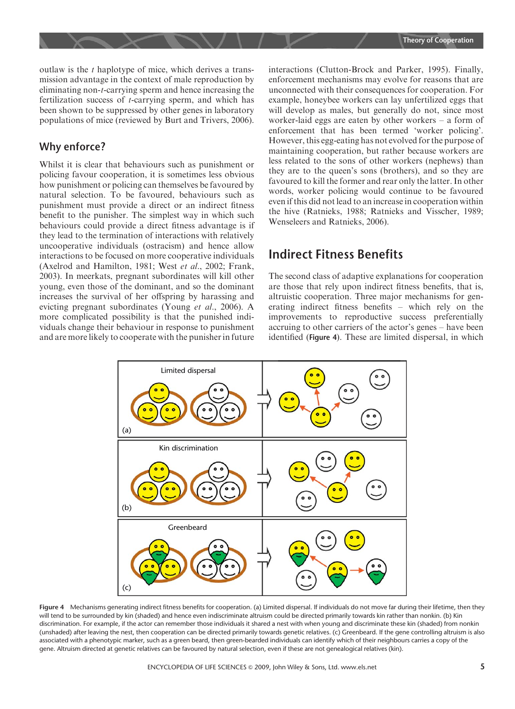outlaw is the  $t$  haplotype of mice, which derives a transmission advantage in the context of male reproduction by eliminating non-t-carrying sperm and hence increasing the fertilization success of t-carrying sperm, and which has been shown to be suppressed by other genes in laboratory populations of mice (reviewed by Burt and Trivers, 2006).

#### Why enforce?

Whilst it is clear that behaviours such as punishment or policing favour cooperation, it is sometimes less obvious how punishment or policing can themselves be favoured by natural selection. To be favoured, behaviours such as punishment must provide a direct or an indirect fitness benefit to the punisher. The simplest way in which such behaviours could provide a direct fitness advantage is if they lead to the termination of interactions with relatively uncooperative individuals (ostracism) and hence allow interactions to be focused on more cooperative individuals (Axelrod and Hamilton, 1981; West  $et$  al., 2002; Frank, 2003). In meerkats, pregnant subordinates will kill other young, even those of the dominant, and so the dominant increases the survival of her offspring by harassing and evicting pregnant subordinates (Young et al., 2006). A more complicated possibility is that the punished individuals change their behaviour in response to punishment and are more likely to cooperate with the punisher in future

interactions (Clutton-Brock and Parker, 1995). Finally, enforcement mechanisms may evolve for reasons that are unconnected with their consequences for cooperation. For example, honeybee workers can lay unfertilized eggs that will develop as males, but generally do not, since most worker-laid eggs are eaten by other workers – a form of enforcement that has been termed 'worker policing'. However, this egg-eating has not evolved for the purpose of maintaining cooperation, but rather because workers are less related to the sons of other workers (nephews) than they are to the queen's sons (brothers), and so they are favoured to kill the former and rear only the latter. In other words, worker policing would continue to be favoured even if this did not lead to an increase in cooperation within the hive (Ratnieks, 1988; Ratnieks and Visscher, 1989; Wenseleers and Ratnieks, 2006).

## Indirect Fitness Benefits

The second class of adaptive explanations for cooperation are those that rely upon indirect fitness benefits, that is, altruistic cooperation. Three major mechanisms for generating indirect fitness benefits – which rely on the improvements to reproductive success preferentially accruing to other carriers of the actor's genes – have been identified (Figure 4). These are limited dispersal, in which



Figure 4 Mechanisms generating indirect fitness benefits for cooperation. (a) Limited dispersal. If individuals do not move far during their lifetime, then they will tend to be surrounded by kin (shaded) and hence even indiscriminate altruism could be directed primarily towards kin rather than nonkin. (b) Kin discrimination. For example, if the actor can remember those individuals it shared a nest with when young and discriminate these kin (shaded) from nonkin (unshaded) after leaving the nest, then cooperation can be directed primarily towards genetic relatives. (c) Greenbeard. If the gene controlling altruism is also associated with a phenotypic marker, such as a green beard, then green-bearded individuals can identify which of their neighbours carries a copy of the gene. Altruism directed at genetic relatives can be favoured by natural selection, even if these are not genealogical relatives (kin).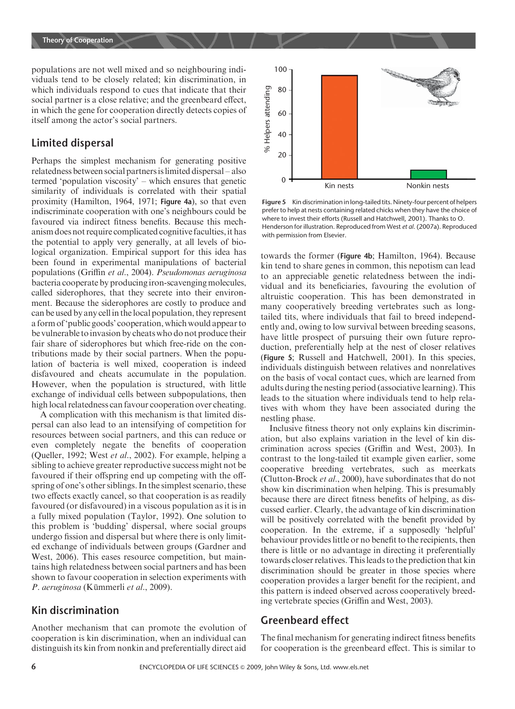populations are not well mixed and so neighbouring individuals tend to be closely related; kin discrimination, in which individuals respond to cues that indicate that their social partner is a close relative; and the greenbeard effect, in which the gene for cooperation directly detects copies of itself among the actor's social partners.

#### Limited dispersal

Perhaps the simplest mechanism for generating positive relatedness between social partners is limited dispersal – also termed 'population viscosity' – which ensures that genetic similarity of individuals is correlated with their spatial proximity (Hamilton, 1964, 1971; Figure 4a), so that even indiscriminate cooperation with one's neighbours could be favoured via indirect fitness benefits. Because this mechanism does not require complicated cognitive faculties, it has the potential to apply very generally, at all levels of biological organization. Empirical support for this idea has been found in experimental manipulations of bacterial populations (Griffin et al., 2004). Pseudomonas aeruginosa bacteria cooperate by producing iron-scavenging molecules, called siderophores, that they secrete into their environment. Because the siderophores are costly to produce and can be used by any cell in the local population, they represent a form of 'public goods' cooperation, which would appear to be vulnerable to invasion by cheats who do not produce their fair share of siderophores but which free-ride on the contributions made by their social partners. When the population of bacteria is well mixed, cooperation is indeed disfavoured and cheats accumulate in the population. However, when the population is structured, with little exchange of individual cells between subpopulations, then high local relatedness can favour cooperation over cheating.

A complication with this mechanism is that limited dispersal can also lead to an intensifying of competition for resources between social partners, and this can reduce or even completely negate the benefits of cooperation (Queller, 1992; West et al., 2002). For example, helping a sibling to achieve greater reproductive success might not be favoured if their offspring end up competing with the offspring of one's other siblings. In the simplest scenario, these two effects exactly cancel, so that cooperation is as readily favoured (or disfavoured) in a viscous population as it is in a fully mixed population (Taylor, 1992). One solution to this problem is 'budding' dispersal, where social groups undergo fission and dispersal but where there is only limited exchange of individuals between groups (Gardner and West, 2006). This eases resource competition, but maintains high relatedness between social partners and has been shown to favour cooperation in selection experiments with P. aeruginosa (Kümmerli et al., 2009).

#### Kin discrimination

Another mechanism that can promote the evolution of cooperation is kin discrimination, when an individual can distinguish its kin from nonkin and preferentially direct aid



Figure 5 Kin discrimination in long-tailed tits. Ninety-four percent of helpers prefer to help at nests containing related chicks when they have the choice of where to invest their efforts (Russell and Hatchwell, 2001). Thanks to O. Henderson for illustration. Reproduced from West et al. (2007a). Reproduced with permission from Elsevier.

towards the former (Figure 4b; Hamilton, 1964). Because kin tend to share genes in common, this nepotism can lead to an appreciable genetic relatedness between the individual and its beneficiaries, favouring the evolution of altruistic cooperation. This has been demonstrated in many cooperatively breeding vertebrates such as longtailed tits, where individuals that fail to breed independently and, owing to low survival between breeding seasons, have little prospect of pursuing their own future reproduction, preferentially help at the nest of closer relatives (Figure 5; Russell and Hatchwell, 2001). In this species, individuals distinguish between relatives and nonrelatives on the basis of vocal contact cues, which are learned from adults during the nesting period (associative learning). This leads to the situation where individuals tend to help relatives with whom they have been associated during the nestling phase.

Inclusive fitness theory not only explains kin discrimination, but also explains variation in the level of kin discrimination across species (Griffin and West, 2003). In contrast to the long-tailed tit example given earlier, some cooperative breeding vertebrates, such as meerkats (Clutton-Brock et al., 2000), have subordinates that do not show kin discrimination when helping. This is presumably because there are direct fitness benefits of helping, as discussed earlier. Clearly, the advantage of kin discrimination will be positively correlated with the benefit provided by cooperation. In the extreme, if a supposedly 'helpful' behaviour provides little or no benefit to the recipients, then there is little or no advantage in directing it preferentially towards closer relatives. This leads to the prediction that kin discrimination should be greater in those species where cooperation provides a larger benefit for the recipient, and this pattern is indeed observed across cooperatively breeding vertebrate species (Griffin and West, 2003).

## Greenbeard effect

The final mechanism for generating indirect fitness benefits for cooperation is the greenbeard effect. This is similar to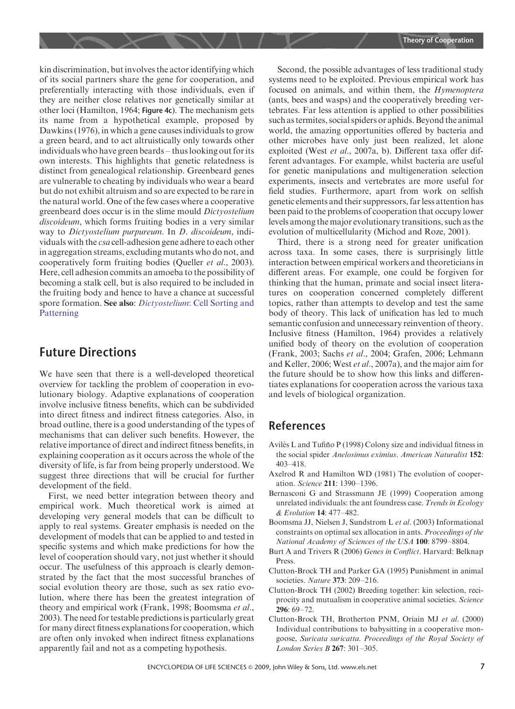kin discrimination, but involves the actor identifying which of its social partners share the gene for cooperation, and preferentially interacting with those individuals, even if they are neither close relatives nor genetically similar at other loci (Hamilton, 1964; Figure 4c). The mechanism gets its name from a hypothetical example, proposed by Dawkins (1976), in which a gene causes individuals to grow a green beard, and to act altruistically only towards other individuals who have green beards – thus looking out for its own interests. This highlights that genetic relatedness is distinct from genealogical relationship. Greenbeard genes are vulnerable to cheating by individuals who wear a beard but do not exhibit altruism and so are expected to be rare in the natural world. One of the few cases where a cooperative greenbeard does occur is in the slime mould Dictyostelium discoideum, which forms fruiting bodies in a very similar way to Dictyostelium purpureum. In D. discoideum, individuals with the csa cell-adhesion gene adhere to each other in aggregation streams, excluding mutants who do not, and cooperatively form fruiting bodies (Queller et al., 2003). Here, cell adhesion commits an amoeba to the possibility of becoming a stalk cell, but is also required to be included in the fruiting body and hence to have a chance at successful spore formation. See also: *Dictyostelium*[: Cell Sorting and](http://dx.doi.org/10.1038/npg.els.0001116) [Patterning](http://dx.doi.org/10.1038/npg.els.0001116)

## Future Directions

We have seen that there is a well-developed theoretical overview for tackling the problem of cooperation in evolutionary biology. Adaptive explanations of cooperation involve inclusive fitness benefits, which can be subdivided into direct fitness and indirect fitness categories. Also, in broad outline, there is a good understanding of the types of mechanisms that can deliver such benefits. However, the relative importance of direct and indirect fitness benefits, in explaining cooperation as it occurs across the whole of the diversity of life, is far from being properly understood. We suggest three directions that will be crucial for further development of the field.

First, we need better integration between theory and empirical work. Much theoretical work is aimed at developing very general models that can be difficult to apply to real systems. Greater emphasis is needed on the development of models that can be applied to and tested in specific systems and which make predictions for how the level of cooperation should vary, not just whether it should occur. The usefulness of this approach is clearly demonstrated by the fact that the most successful branches of social evolution theory are those, such as sex ratio evolution, where there has been the greatest integration of theory and empirical work (Frank, 1998; Boomsma et al., 2003). The need for testable predictions is particularly great for many direct fitness explanations for cooperation, which are often only invoked when indirect fitness explanations apparently fail and not as a competing hypothesis.

Second, the possible advantages of less traditional study systems need to be exploited. Previous empirical work has focused on animals, and within them, the Hymenoptera (ants, bees and wasps) and the cooperatively breeding vertebrates. Far less attention is applied to other possibilities such as termites, social spiders or aphids. Beyond the animal world, the amazing opportunities offered by bacteria and other microbes have only just been realized, let alone exploited (West et al., 2007a, b). Different taxa offer different advantages. For example, whilst bacteria are useful for genetic manipulations and multigeneration selection experiments, insects and vertebrates are more useful for field studies. Furthermore, apart from work on selfish genetic elements and their suppressors, far less attention has been paid to the problems of cooperation that occupy lower levels among the major evolutionary transitions, such as the evolution of multicellularity (Michod and Roze, 2001).

Third, there is a strong need for greater unification across taxa. In some cases, there is surprisingly little interaction between empirical workers and theoreticians in different areas. For example, one could be forgiven for thinking that the human, primate and social insect literatures on cooperation concerned completely different topics, rather than attempts to develop and test the same body of theory. This lack of unification has led to much semantic confusion and unnecessary reinvention of theory. Inclusive fitness (Hamilton, 1964) provides a relatively unified body of theory on the evolution of cooperation (Frank, 2003; Sachs et al., 2004; Grafen, 2006; Lehmann and Keller, 2006; West et al., 2007a), and the major aim for the future should be to show how this links and differentiates explanations for cooperation across the various taxa and levels of biological organization.

## References

- Avilés L and Tufiño P (1998) Colony size and individual fitness in the social spider Anelosimus eximius. American Naturalist 152: 403–418.
- Axelrod R and Hamilton WD (1981) The evolution of cooperation. Science 211: 1390–1396.
- Bernasconi G and Strassmann JE (1999) Cooperation among unrelated individuals: the ant foundress case. Trends in Ecology & Evolution 14: 477–482.
- Boomsma JJ, Nielsen J, Sundstrom L et al. (2003) Informational constraints on optimal sex allocation in ants. Proceedings of the National Academy of Sciences of the USA 100: 8799–8804.
- Burt A and Trivers R (2006) Genes in Conflict. Harvard: Belknap Press.
- Clutton-Brock TH and Parker GA (1995) Punishment in animal societies. Nature 373: 209-216.
- Clutton-Brock TH (2002) Breeding together: kin selection, reciprocity and mutualism in cooperative animal societies. Science 296: 69–72.
- Clutton-Brock TH, Brotherton PNM, Oriain MJ et al. (2000) Individual contributions to babysitting in a cooperative mongoose, Suricata suricatta. Proceedings of the Royal Society of London Series B 267: 301–305.